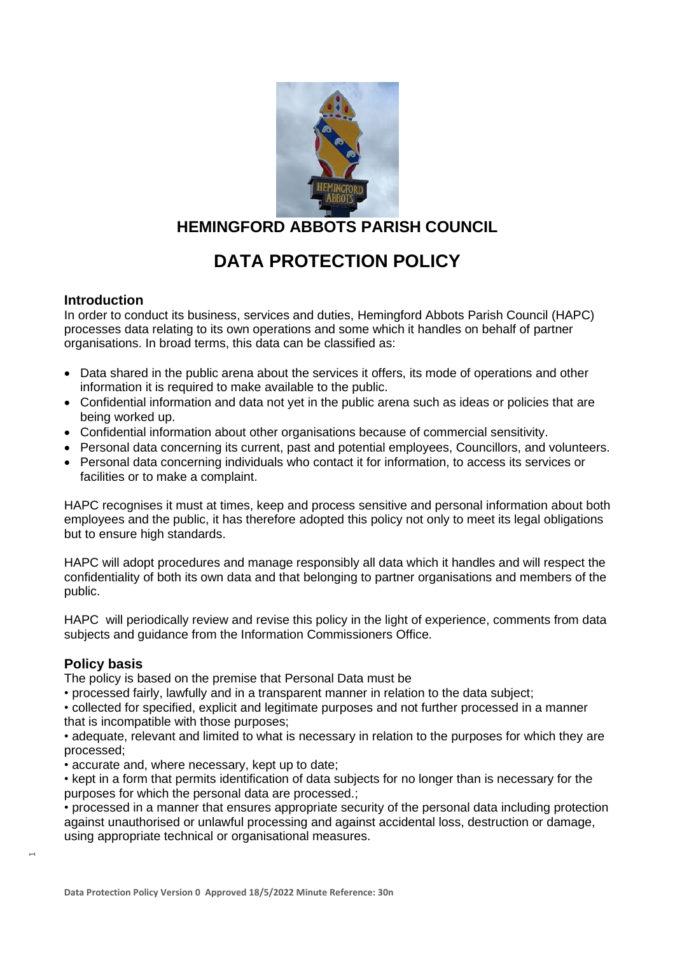

# **HEMINGFORD ABBOTS PARISH COUNCIL**

# **DATA PROTECTION POLICY**

## **Introduction**

In order to conduct its business, services and duties, Hemingford Abbots Parish Council (HAPC) processes data relating to its own operations and some which it handles on behalf of partner organisations. In broad terms, this data can be classified as:

- Data shared in the public arena about the services it offers, its mode of operations and other information it is required to make available to the public.
- Confidential information and data not yet in the public arena such as ideas or policies that are being worked up.
- Confidential information about other organisations because of commercial sensitivity.
- Personal data concerning its current, past and potential employees, Councillors, and volunteers.
- Personal data concerning individuals who contact it for information, to access its services or facilities or to make a complaint.

HAPC recognises it must at times, keep and process sensitive and personal information about both employees and the public, it has therefore adopted this policy not only to meet its legal obligations but to ensure high standards.

HAPC will adopt procedures and manage responsibly all data which it handles and will respect the confidentiality of both its own data and that belonging to partner organisations and members of the public.

HAPC will periodically review and revise this policy in the light of experience, comments from data subjects and guidance from the Information Commissioners Office.

# **Policy basis**

 $\mathrel{\blacksquare}$ 

The policy is based on the premise that Personal Data must be

• processed fairly, lawfully and in a transparent manner in relation to the data subject;

• collected for specified, explicit and legitimate purposes and not further processed in a manner that is incompatible with those purposes;

• adequate, relevant and limited to what is necessary in relation to the purposes for which they are processed;

• accurate and, where necessary, kept up to date;

• kept in a form that permits identification of data subjects for no longer than is necessary for the purposes for which the personal data are processed.;

• processed in a manner that ensures appropriate security of the personal data including protection against unauthorised or unlawful processing and against accidental loss, destruction or damage, using appropriate technical or organisational measures.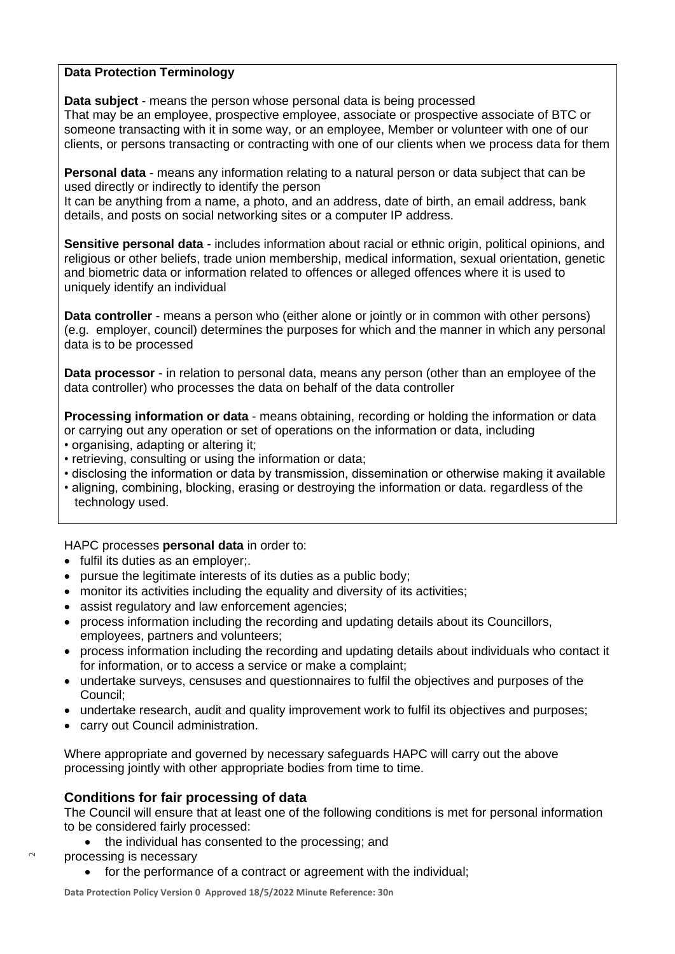#### **Data Protection Terminology**

**Data subject** - means the person whose personal data is being processed That may be an employee, prospective employee, associate or prospective associate of BTC or someone transacting with it in some way, or an employee, Member or volunteer with one of our clients, or persons transacting or contracting with one of our clients when we process data for them

**Personal data** - means any information relating to a natural person or data subject that can be used directly or indirectly to identify the person

It can be anything from a name, a photo, and an address, date of birth, an email address, bank details, and posts on social networking sites or a computer IP address.

**Sensitive personal data** - includes information about racial or ethnic origin, political opinions, and religious or other beliefs, trade union membership, medical information, sexual orientation, genetic and biometric data or information related to offences or alleged offences where it is used to uniquely identify an individual

**Data controller** - means a person who (either alone or jointly or in common with other persons) (e.g. employer, council) determines the purposes for which and the manner in which any personal data is to be processed

**Data processor** - in relation to personal data, means any person (other than an employee of the data controller) who processes the data on behalf of the data controller

**Processing information or data** - means obtaining, recording or holding the information or data or carrying out any operation or set of operations on the information or data, including

- organising, adapting or altering it;
- retrieving, consulting or using the information or data;
- disclosing the information or data by transmission, dissemination or otherwise making it available
- aligning, combining, blocking, erasing or destroying the information or data. regardless of the technology used.

HAPC processes **personal data** in order to:

- fulfil its duties as an employer;.
- pursue the legitimate interests of its duties as a public body;
- monitor its activities including the equality and diversity of its activities;
- assist regulatory and law enforcement agencies;
- process information including the recording and updating details about its Councillors, employees, partners and volunteers;
- process information including the recording and updating details about individuals who contact it for information, or to access a service or make a complaint;
- undertake surveys, censuses and questionnaires to fulfil the objectives and purposes of the Council;
- undertake research, audit and quality improvement work to fulfil its objectives and purposes;
- carry out Council administration.

Where appropriate and governed by necessary safeguards HAPC will carry out the above processing jointly with other appropriate bodies from time to time.

#### **Conditions for fair processing of data**

The Council will ensure that at least one of the following conditions is met for personal information to be considered fairly processed:

- the individual has consented to the processing; and
- processing is necessary
	- for the performance of a contract or agreement with the individual;

 $\scriptstyle\sim$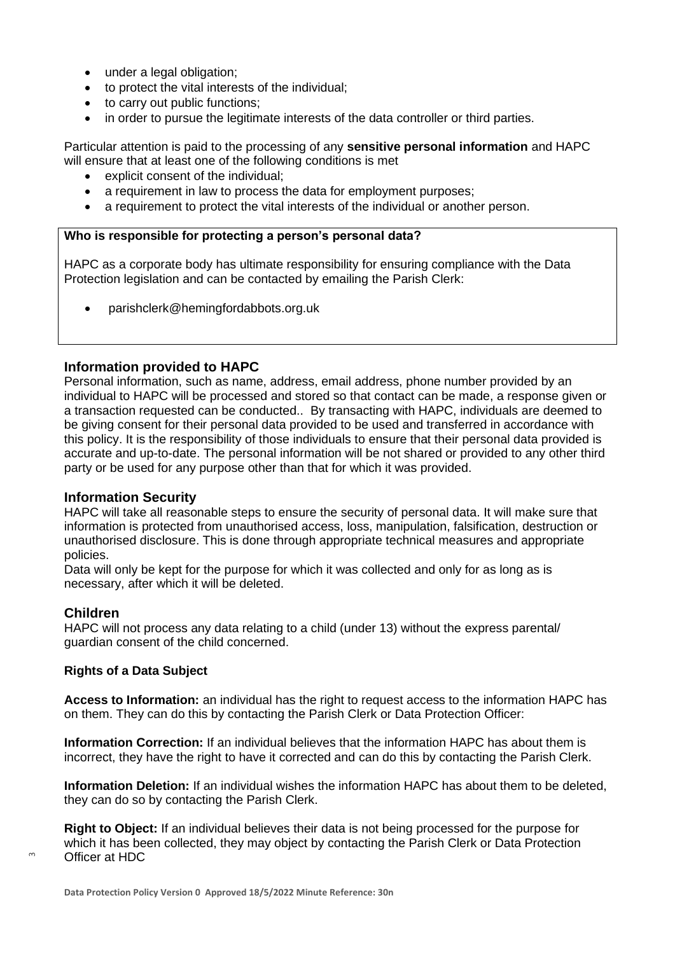- under a legal obligation;
- to protect the vital interests of the individual;
- to carry out public functions;
- in order to pursue the legitimate interests of the data controller or third parties.

Particular attention is paid to the processing of any **sensitive personal information** and HAPC will ensure that at least one of the following conditions is met

- explicit consent of the individual;
- a requirement in law to process the data for employment purposes;
- a requirement to protect the vital interests of the individual or another person.

#### **Who is responsible for protecting a person's personal data?**

HAPC as a corporate body has ultimate responsibility for ensuring compliance with the Data Protection legislation and can be contacted by emailing the Parish Clerk:

• [parishclerk@hemingfordabbots.org.uk](mailto:parishclerk@hemingfordabbots.org.uk)

## **Information provided to HAPC**

Personal information, such as name, address, email address, phone number provided by an individual to HAPC will be processed and stored so that contact can be made, a response given or a transaction requested can be conducted.. By transacting with HAPC, individuals are deemed to be giving consent for their personal data provided to be used and transferred in accordance with this policy. It is the responsibility of those individuals to ensure that their personal data provided is accurate and up-to-date. The personal information will be not shared or provided to any other third party or be used for any purpose other than that for which it was provided.

#### **Information Security**

HAPC will take all reasonable steps to ensure the security of personal data. It will make sure that information is protected from unauthorised access, loss, manipulation, falsification, destruction or unauthorised disclosure. This is done through appropriate technical measures and appropriate policies.

Data will only be kept for the purpose for which it was collected and only for as long as is necessary, after which it will be deleted.

#### **Children**

 $\sim$ 

HAPC will not process any data relating to a child (under 13) without the express parental/ guardian consent of the child concerned.

#### **Rights of a Data Subject**

**Access to Information:** an individual has the right to request access to the information HAPC has on them. They can do this by contacting the Parish Clerk or Data Protection Officer:

**Information Correction:** If an individual believes that the information HAPC has about them is incorrect, they have the right to have it corrected and can do this by contacting the Parish Clerk.

**Information Deletion:** If an individual wishes the information HAPC has about them to be deleted, they can do so by contacting the Parish Clerk.

**Right to Object:** If an individual believes their data is not being processed for the purpose for which it has been collected, they may object by contacting the Parish Clerk or Data Protection Officer at HDC